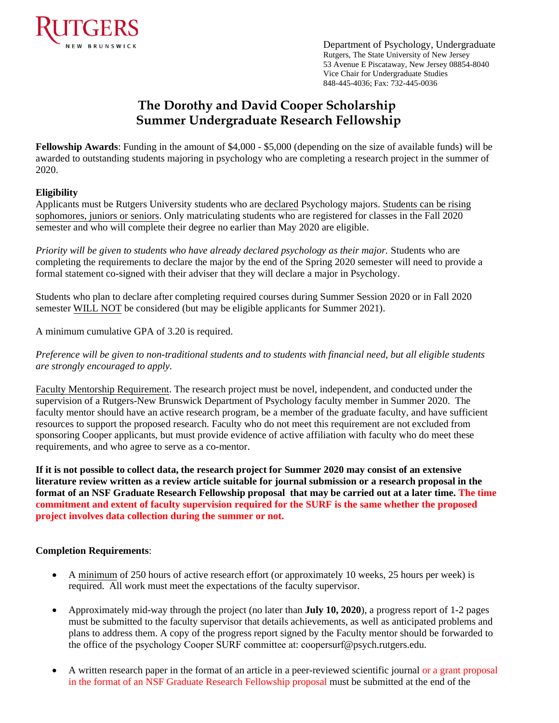

Department of Psychology, Undergraduate Rutgers, The State University of New Jersey 53 Avenue E Piscataway, New Jersey 08854-8040 Vice Chair for Undergraduate Studies 848-445-4036; Fax: 732-445-0036

# **The Dorothy and David Cooper Scholarship Summer Undergraduate Research Fellowship**

**Fellowship Awards**: Funding in the amount of \$4,000 - \$5,000 (depending on the size of available funds) will be awarded to outstanding students majoring in psychology who are completing a research project in the summer of 2020.

#### **Eligibility**

Applicants must be Rutgers University students who are declared Psychology majors. Students can be rising sophomores, juniors or seniors. Only matriculating students who are registered for classes in the Fall 2020 semester and who will complete their degree no earlier than May 2020 are eligible.

*Priority will be given to students who have already declared psychology as their major.* Students who are completing the requirements to declare the major by the end of the Spring 2020 semester will need to provide a formal statement co-signed with their adviser that they will declare a major in Psychology.

Students who plan to declare after completing required courses during Summer Session 2020 or in Fall 2020 semester WILL NOT be considered (but may be eligible applicants for Summer 2021).

A minimum cumulative GPA of 3.20 is required.

*Preference will be given to non-traditional students and to students with financial need, but all eligible students are strongly encouraged to apply.* 

Faculty Mentorship Requirement. The research project must be novel, independent, and conducted under the supervision of a Rutgers-New Brunswick Department of Psychology faculty member in Summer 2020. The faculty mentor should have an active research program, be a member of the graduate faculty, and have sufficient resources to support the proposed research. Faculty who do not meet this requirement are not excluded from sponsoring Cooper applicants, but must provide evidence of active affiliation with faculty who do meet these requirements, and who agree to serve as a co-mentor.

**If it is not possible to collect data, the research project for Summer 2020 may consist of an extensive literature review written as a review article suitable for journal submission or a research proposal in the format of an NSF Graduate Research Fellowship proposal that may be carried out at a later time. The time commitment and extent of faculty supervision required for the SURF is the same whether the proposed project involves data collection during the summer or not.** 

#### **Completion Requirements**:

- A minimum of 250 hours of active research effort (or approximately 10 weeks, 25 hours per week) is required. All work must meet the expectations of the faculty supervisor.
- Approximately mid-way through the project (no later than **July 10, 2020**), a progress report of 1-2 pages must be submitted to the faculty supervisor that details achievements, as well as anticipated problems and plans to address them. A copy of the progress report signed by the Faculty mentor should be forwarded to the office of the psychology Cooper SURF committee at: coopersurf@psych.rutgers.edu.
- A written research paper in the format of an article in a peer-reviewed scientific journal or a grant proposal in the format of an NSF Graduate Research Fellowship proposal must be submitted at the end of the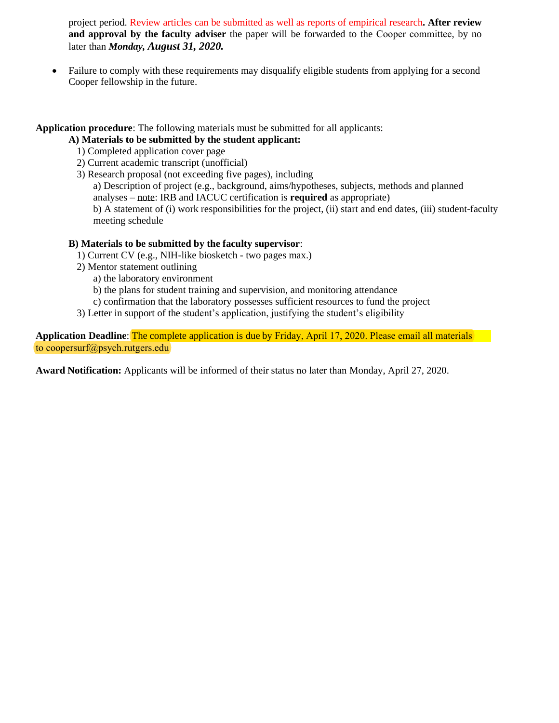project period. Review articles can be submitted as well as reports of empirical research**. After review and approval by the faculty adviser** the paper will be forwarded to the Cooper committee, by no later than *Monday, August 31, 2020.*

• Failure to comply with these requirements may disqualify eligible students from applying for a second Cooper fellowship in the future.

**Application procedure**: The following materials must be submitted for all applicants:

## **A) Materials to be submitted by the student applicant:**

- 1) Completed application cover page
- 2) Current academic transcript (unofficial)
- 3) Research proposal (not exceeding five pages), including

a) Description of project (e.g., background, aims/hypotheses, subjects, methods and planned analyses – note: IRB and IACUC certification is **required** as appropriate)

b) A statement of (i) work responsibilities for the project, (ii) start and end dates, (iii) student-faculty meeting schedule

### **B) Materials to be submitted by the faculty supervisor**:

- 1) Current CV (e.g., NIH-like biosketch two pages max.)
- 2) Mentor statement outlining
	- a) the laboratory environment
	- b) the plans for student training and supervision, and monitoring attendance
	- c) confirmation that the laboratory possesses sufficient resources to fund the project
- 3) Letter in support of the student's application, justifying the student's eligibility

**Application Deadline**: The complete application is due by Friday, April 17, 2020. Please email all materials to coopersurf@psych.rutgers.edu

**Award Notification:** Applicants will be informed of their status no later than Monday, April 27, 2020.